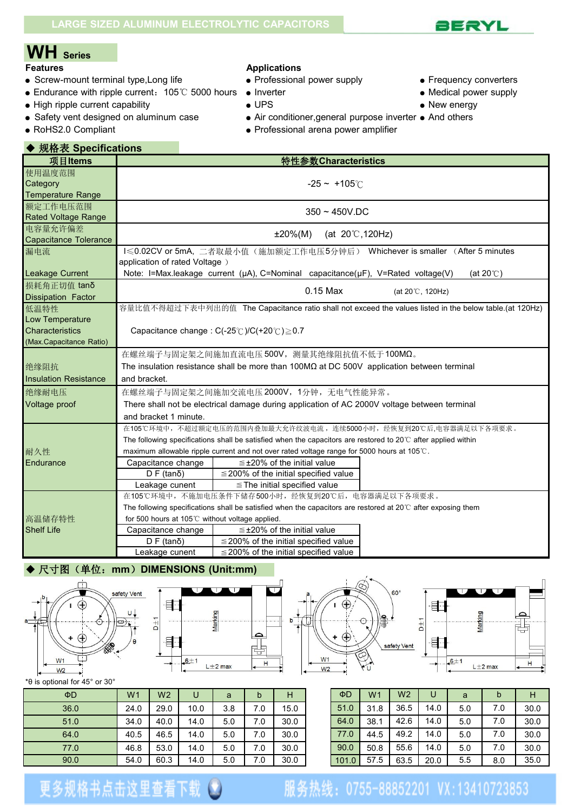# **WH Series**

- Screw-mount terminal type, Long life <br>• Professional power supply **•** Frequency converters
- Endurance with ripple current: 105℃ 5000 hours Inverter Nedical power supply Medical power supply High ripple current capability New energy
- High ripple current capability  $\bullet$  UPS  $\bullet$  New energy

◆ 规格表 **Specifications**

- Safety vent designed on aluminum case <br>● Air conditioner, general purpose inverter And others
- 

#### **Applications**

- 
- 
- 
- 
- 
- 
- 
- 
- 
- RoHS2.0 Compliant Professional arena power amplifier

| 项目Items                      |                                                | 特性参数Characteristics                                                                                                     |  |  |  |  |  |  |  |  |
|------------------------------|------------------------------------------------|-------------------------------------------------------------------------------------------------------------------------|--|--|--|--|--|--|--|--|
| 使用温度范围                       |                                                |                                                                                                                         |  |  |  |  |  |  |  |  |
| Category                     |                                                | $-25 - +105^{\circ}$                                                                                                    |  |  |  |  |  |  |  |  |
| <b>Temperature Range</b>     |                                                |                                                                                                                         |  |  |  |  |  |  |  |  |
| 额定工作电压范围                     |                                                | $350 - 450V$ .DC                                                                                                        |  |  |  |  |  |  |  |  |
| <b>Rated Voltage Range</b>   |                                                |                                                                                                                         |  |  |  |  |  |  |  |  |
| 电容量允许偏差                      | (at $20^{\circ}$ C, 120Hz)<br>$±20\%(M)$       |                                                                                                                         |  |  |  |  |  |  |  |  |
| <b>Capacitance Tolerance</b> |                                                |                                                                                                                         |  |  |  |  |  |  |  |  |
| 漏电流                          |                                                | I < 0.02CV or 5mA, 二者取最小值(施加额定工作电压5分钟后) Whichever is smaller (After 5 minutes                                           |  |  |  |  |  |  |  |  |
| Leakage Current              | application of rated Voltage)                  | Note: I=Max.leakage current (µA), C=Nominal capacitance(µF), V=Rated voltage(V)<br>(at $20^\circ$ C)                    |  |  |  |  |  |  |  |  |
| 损耗角正切值 tanδ                  |                                                |                                                                                                                         |  |  |  |  |  |  |  |  |
| <b>Dissipation Factor</b>    |                                                | 0.15 Max<br>(at 20°C, 120Hz)                                                                                            |  |  |  |  |  |  |  |  |
| 低温特性                         |                                                | 容量比值不得超过下表中列出的值 The Capacitance ratio shall not exceed the values listed in the below table.(at 120Hz)                  |  |  |  |  |  |  |  |  |
| Low Temperature              |                                                |                                                                                                                         |  |  |  |  |  |  |  |  |
| Characteristics              |                                                | Capacitance change: $C(-25^{\circ}C)/C(+20^{\circ}C) \ge 0.7$                                                           |  |  |  |  |  |  |  |  |
| (Max.Capacitance Ratio)      |                                                |                                                                                                                         |  |  |  |  |  |  |  |  |
|                              |                                                | 在螺丝端子与固定架之间施加直流电压500V, 测量其绝缘阻抗值不低于100MΩ。                                                                                |  |  |  |  |  |  |  |  |
| 绝缘阻抗                         |                                                | The insulation resistance shall be more than $100M\Omega$ at DC 500V application between terminal                       |  |  |  |  |  |  |  |  |
| <b>Insulation Resistance</b> | and bracket.                                   |                                                                                                                         |  |  |  |  |  |  |  |  |
| 绝缘耐电压                        |                                                | 在螺丝端子与固定架之间施加交流电压 2000V, 1分钟, 无电气性能异常。                                                                                  |  |  |  |  |  |  |  |  |
| Voltage proof                |                                                | There shall not be electrical damage during application of AC 2000V voltage between terminal                            |  |  |  |  |  |  |  |  |
|                              | and bracket 1 minute.                          |                                                                                                                         |  |  |  |  |  |  |  |  |
|                              |                                                | 在105℃环境中,不超过额定电压的范围内叠加最大允许纹波电流,连续5000小时,经恢复到20℃后.电容器满足以下各项要求。                                                           |  |  |  |  |  |  |  |  |
|                              |                                                | The following specifications shall be satisfied when the capacitors are restored to $20^{\circ}$ C after applied within |  |  |  |  |  |  |  |  |
| 耐久性                          |                                                | maximum allowable ripple current and not over rated voltage range for 5000 hours at 105°C.                              |  |  |  |  |  |  |  |  |
| Endurance                    | Capacitance change                             | $\leq$ ±20% of the initial value                                                                                        |  |  |  |  |  |  |  |  |
|                              | $D F$ (tan $\delta$ )                          | $\leq$ 200% of the initial specified value                                                                              |  |  |  |  |  |  |  |  |
|                              | Leakage cunent                                 | $\le$ The initial specified value                                                                                       |  |  |  |  |  |  |  |  |
|                              |                                                | 在105℃环境中,不施加电压条件下储存500小时,经恢复到20℃后,电容器满足以下各项要求。                                                                          |  |  |  |  |  |  |  |  |
|                              |                                                | The following specifications shall be satisfied when the capacitors are restored at 20 $\degree$ C after exposing them  |  |  |  |  |  |  |  |  |
| 高温储存特性                       | for 500 hours at 105℃ without voltage applied. |                                                                                                                         |  |  |  |  |  |  |  |  |
| <b>Shelf Life</b>            | Capacitance change                             | $\leq$ ±20% of the initial value                                                                                        |  |  |  |  |  |  |  |  |
|                              | $D F$ (tan $\delta$ )                          | $\leq$ 200% of the initial specified value                                                                              |  |  |  |  |  |  |  |  |
|                              | Leakage cunent                                 | $\leq$ 200% of the initial specified value                                                                              |  |  |  |  |  |  |  |  |

### ◆ 尺寸图(单位:**mm**)**DIMENSIONS (Unit:mm)**









\*θ is optional for 45° or 30°

| $\Phi$ D | W <sub>1</sub> | W <sub>2</sub> | U    | a   | b   | Н    | $\Phi$ D | W1   | W <sub>2</sub> | U    | a   | b   | H    |
|----------|----------------|----------------|------|-----|-----|------|----------|------|----------------|------|-----|-----|------|
| 36.0     | 24.0           | 29.0           | 10.0 | 3.8 | 7.0 | 15.0 | 51.0     | 31.8 | 36.5           | 14.0 | 5.0 | 7.0 | 30.0 |
| 51.0     | 34.0           | 40.0           | 14.0 | 5.0 | 7.0 | 30.0 | 64.0     | 38.7 | 42.6           | 14.0 | 5.0 | 7.0 | 30.0 |
| 64.0     | 40.5           | 46.5           | 14.0 | 5.0 | 7.0 | 30.0 | 77.0     | 44.5 | 49.2           | 14.0 | 5.0 | 7.0 | 30.0 |
| 77.0     | 46.8           | 53.0           | 14.0 | 5.0 | 7.0 | 30.0 | 90.0     | 50.8 | 55.6           | 14.0 | 5.0 | 7.0 | 30.0 |
| 90.0     | 54.0           | 60.3           | 14.0 | 5.0 | 7.0 | 30.0 | 101.0    | 57.5 | 63.5           | 20.0 | 5.5 | 8.0 | 35.0 |

| ΦD    | W <sub>1</sub> | W <sub>2</sub> | U    | a   | b   |      |
|-------|----------------|----------------|------|-----|-----|------|
| 51.0  | 31.8           | 36.5           | 14.0 | 5.0 | 7.0 | 30.0 |
| 64.0  | 38.1           | 42.6           | 14.0 | 5.0 | 7.0 | 30.0 |
| 77.0  | 44.5           | 49.2           | 14.0 | 5.0 | 7.0 | 30.0 |
| 90.0  | 50.8           | 55.6           | 14.0 | 5.0 | 7.0 | 30.0 |
| 101.0 | 57.5           | 63.5           | 20.0 | 5.5 | 8.0 | 35.0 |

## 服务热线: 0755-88852201 VX:13410723853